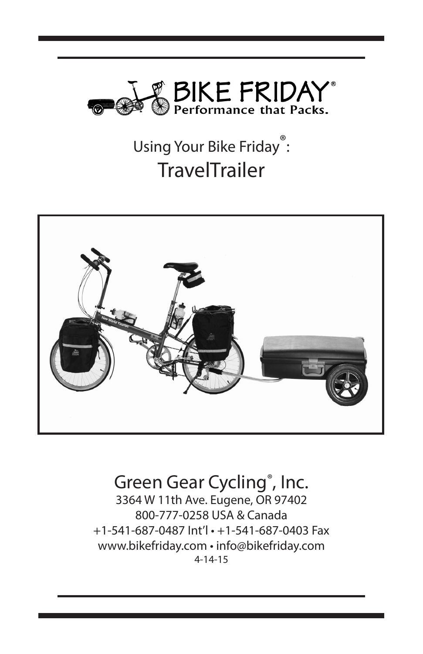

# Using Your Bike Friday<sup>®</sup>: **TravelTrailer**



### Green Gear Cycling®, Inc. 3364 W 11th Ave. Eugene, OR 97402 800-777-0258 USA & Canada +1-541-687-0487 Int'l • +1-541-687-0403 Fax www.bikefriday.com • info@bikefriday.com 4-14-15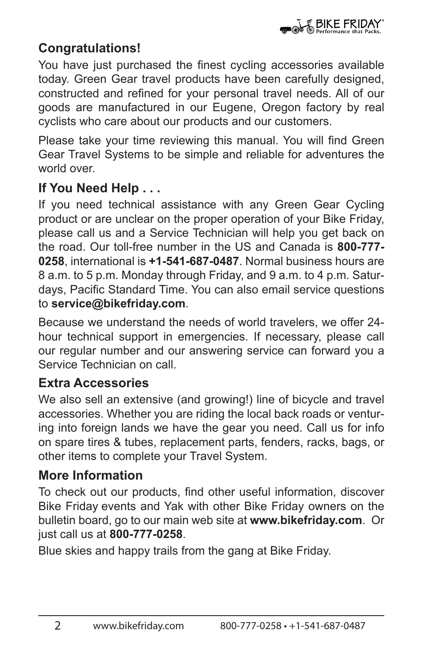### **Congratulations!**

You have just purchased the finest cycling accessories available today. Green Gear travel products have been carefully designed, constructed and refined for your personal travel needs. All of our goods are manufactured in our Eugene, Oregon factory by real cyclists who care about our products and our customers.

Please take your time reviewing this manual. You will find Green Gear Travel Systems to be simple and reliable for adventures the world over.

# **If You Need Help . . .**

If you need technical assistance with any Green Gear Cycling product or are unclear on the proper operation of your Bike Friday, please call us and a Service Technician will help you get back on the road. Our toll-free number in the US and Canada is **800-777- 0258**, international is **+1-541-687-0487**. Normal business hours are 8 a.m. to 5 p.m. Monday through Friday, and 9 a.m. to 4 p.m. Saturdays, Pacific Standard Time. You can also email service questions to **service@bikefriday.com**.

Because we understand the needs of world travelers, we offer 24 hour technical support in emergencies. If necessary, please call our regular number and our answering service can forward you a Service Technician on call.

# **Extra Accessories**

We also sell an extensive (and growing!) line of bicycle and travel accessories. Whether you are riding the local back roads or venturing into foreign lands we have the gear you need. Call us for info on spare tires & tubes, replacement parts, fenders, racks, bags, or other items to complete your Travel System.

# **More Information**

To check out our products, find other useful information, discover Bike Friday events and Yak with other Bike Friday owners on the bulletin board, go to our main web site at **www.bikefriday.com**. Or just call us at **800-777-0258**.

Blue skies and happy trails from the gang at Bike Friday.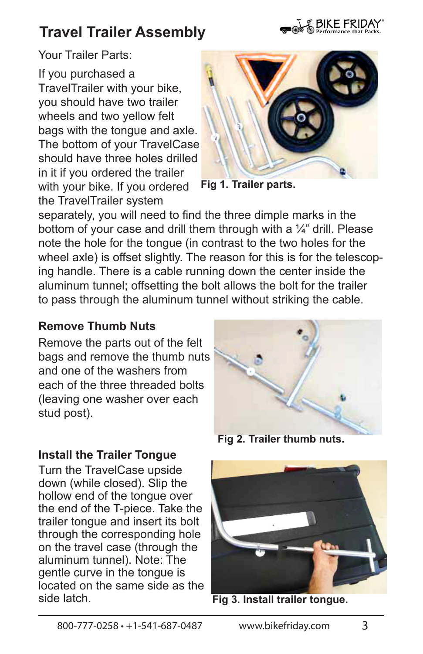# **Travel Trailer Assembly**



Your Trailer Parts:

If you purchased a TravelTrailer with your bike, you should have two trailer wheels and two yellow felt bags with the tongue and axle. The bottom of your TravelCase should have three holes drilled in it if you ordered the trailer with your bike. If you ordered the TravelTrailer system



**Fig 1. Trailer parts.**

separately, you will need to find the three dimple marks in the bottom of your case and drill them through with a  $\frac{1}{4}$ " drill. Please note the hole for the tongue (in contrast to the two holes for the wheel axle) is offset slightly. The reason for this is for the telescoping handle. There is a cable running down the center inside the aluminum tunnel; offsetting the bolt allows the bolt for the trailer to pass through the aluminum tunnel without striking the cable.

#### **Remove Thumb Nuts**

Remove the parts out of the felt bags and remove the thumb nuts and one of the washers from each of the three threaded bolts (leaving one washer over each stud post).

**Fig 2. Trailer thumb nuts.**



**Fig 3. Install trailer tongue.** 

#### **Install the Trailer Tongue**

Turn the TravelCase upside down (while closed). Slip the hollow end of the tongue over the end of the T-piece. Take the trailer tongue and insert its bolt through the corresponding hole on the travel case (through the aluminum tunnel). Note: The gentle curve in the tongue is located on the same side as the side latch.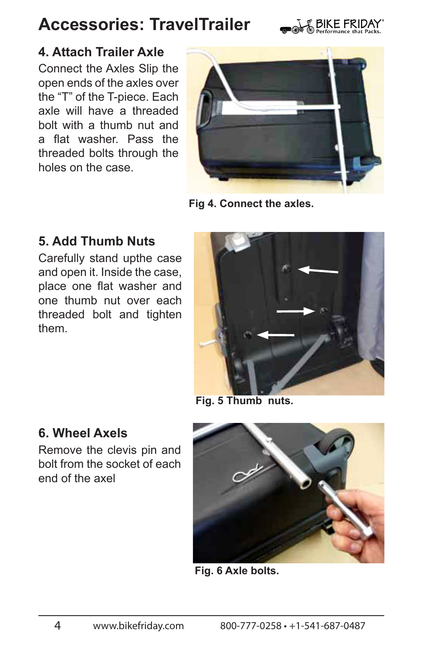

# **4. Attach Trailer Axle**

Connect the Axles Slip the open ends of the axles over the "T" of the T-piece. Each axle will have a threaded bolt with a thumb nut and a flat washer. Pass the threaded bolts through the holes on the case.



**Fig 4. Connect the axles.**

### **5. Add Thumb Nuts**

Carefully stand upthe case and open it. Inside the case, place one flat washer and one thumb nut over each threaded bolt and tighten them.



**Fig. 5 Thumb nuts.**

### **6. Wheel Axels**

Remove the clevis pin and bolt from the socket of each end of the axel



**Fig. 6 Axle bolts.**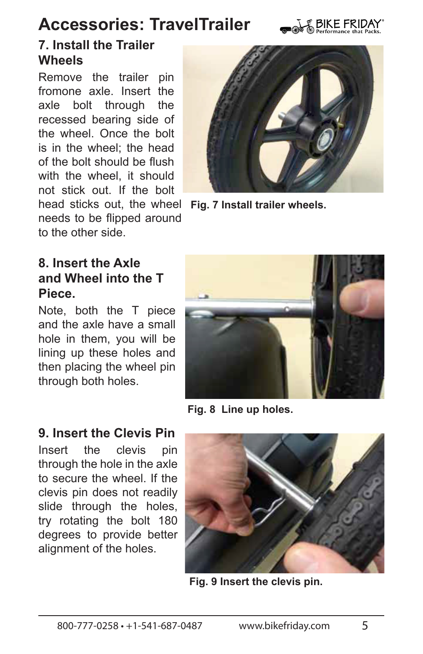

# **7. Install the Trailer Wheels**

Remove the trailer pin fromone axle. Insert the axle bolt through the recessed bearing side of the wheel. Once the bolt is in the wheel; the head of the bolt should be flush with the wheel, it should not stick out. If the bolt head sticks out, the wheel  **Fig. 7 Install trailer wheels.**needs to be flipped around to the other side.



# **8. Insert the Axle and Wheel into the T Piece.**

Note, both the T piece and the axle have a small hole in them, you will be lining up these holes and then placing the wheel pin through both holes.



**Fig. 8 Line up holes.**

### **9. Insert the Clevis Pin**

Insert the clevis pin through the hole in the axle to secure the wheel. If the clevis pin does not readily slide through the holes. try rotating the bolt 180 degrees to provide better alignment of the holes.



**Fig. 9 Insert the clevis pin.**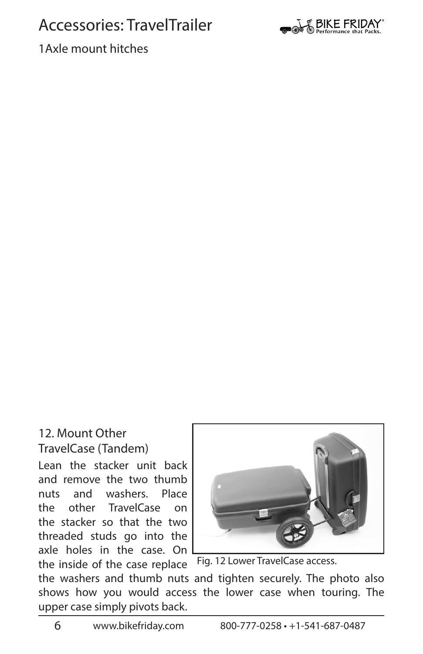

1Axle mount hitches

#### 12. Mount Other TravelCase (Tandem)

Lean the stacker unit back and remove the two thumb nuts and washers. Place the other TravelCase on the stacker so that the two threaded studs go into the axle holes in the case. On the inside of the case replace



Fig. 12 Lower TravelCase access.

the washers and thumb nuts and tighten securely. The photo also shows how you would access the lower case when touring. The upper case simply pivots back.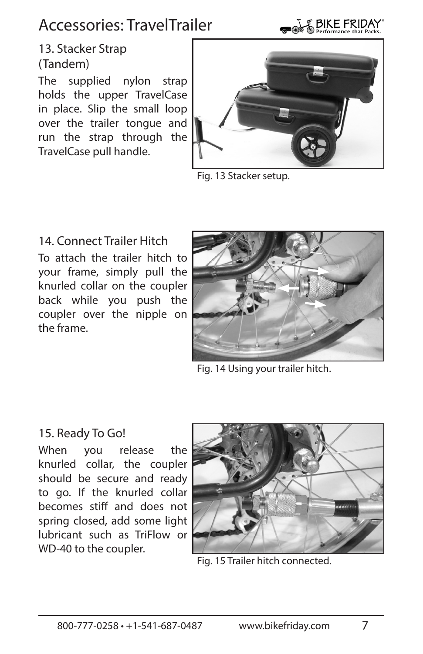

### 13. Stacker Strap (Tandem)

The supplied nylon strap holds the upper TravelCase in place. Slip the small loop over the trailer tongue and run the strap through the TravelCase pull handle.



Fig. 13 Stacker setup.

14. Connect Trailer Hitch To attach the trailer hitch to your frame, simply pull the knurled collar on the coupler back while you push the coupler over the nipple on the frame.



Fig. 14 Using your trailer hitch.

#### 15. Ready To Go!

When you release the knurled collar, the coupler should be secure and ready to go. If the knurled collar becomes stiff and does not spring closed, add some light lubricant such as TriFlow or WD-40 to the coupler.



Fig. 15 Trailer hitch connected.